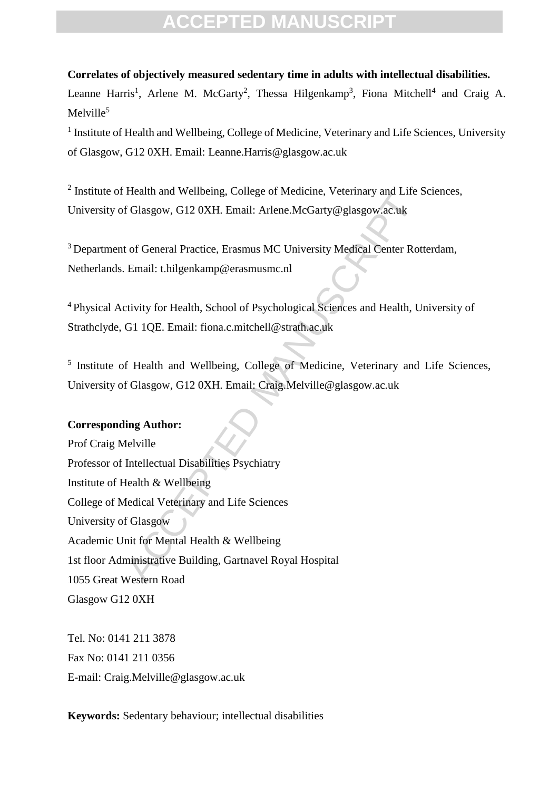#### **Correlates of objectively measured sedentary time in adults with intellectual disabilities.**

Leanne Harris<sup>1</sup>, Arlene M. McGarty<sup>2</sup>, Thessa Hilgenkamp<sup>3</sup>, Fiona Mitchell<sup>4</sup> and Craig A.  $M$ elville<sup>5</sup>

<sup>1</sup> Institute of Health and Wellbeing, College of Medicine, Veterinary and Life Sciences, University of Glasgow, G12 0XH. Email: Leanne.Harris@glasgow.ac.uk

<sup>2</sup> Institute of Health and Wellbeing, College of Medicine, Veterinary and Life Sciences, University of Glasgow, G12 0XH. Email: Arlene.McGarty@glasgow.ac.uk

<sup>3</sup> Department of General Practice, Erasmus MC University Medical Center Rotterdam, Netherlands. Email: t.hilgenkamp@erasmusmc.nl

<sup>4</sup> Physical Activity for Health, School of Psychological Sciences and Health, University of Strathclyde, G1 1QE. Email: fiona.c.mitchell@strath.ac.uk

<sup>5</sup> Institute of Health and Wellbeing, College of Medicine, Veterinary and Life Sciences, University of Glasgow, G12 0XH. Email: Craig.Melville@glasgow.ac.uk

#### **Corresponding Author:**

readul and Weinbellig, College of Medicine, Veterlinary and Life .<br>
If Glasgow, G12 0XH. Email: Arlene.McGarty@glasgow.ac.uk<br>
to f General Practice, Erasmus MC University Medical Center Rot<br>
Email: thilgenkamp@erasmusmc.nl Prof Craig Melville Professor of Intellectual Disabilities Psychiatry Institute of Health & Wellbeing College of Medical Veterinary and Life Sciences University of Glasgow Academic Unit for Mental Health & Wellbeing 1st floor Administrative Building, Gartnavel Royal Hospital 1055 Great Western Road Glasgow G12 0XH

Tel. No: 0141 211 3878 Fax No: 0141 211 0356 E-mail: Craig.Melville@glasgow.ac.uk

**Keywords:** Sedentary behaviour; intellectual disabilities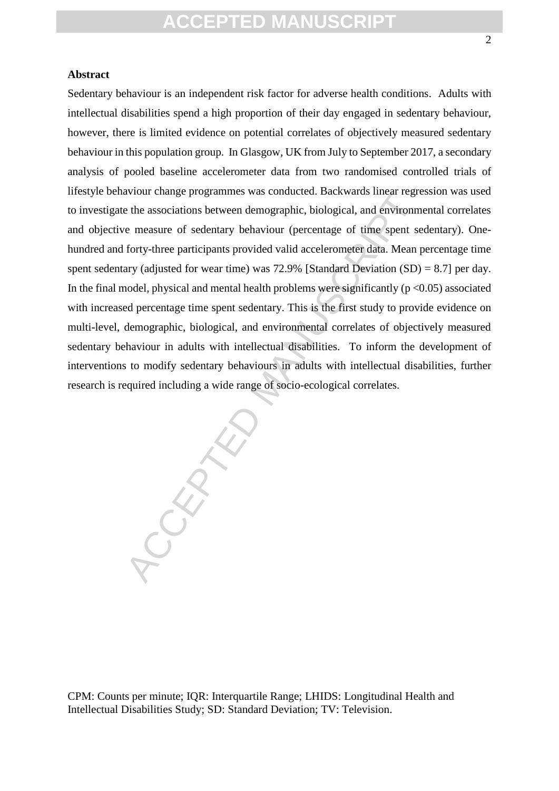#### **Abstract**

above the associations between demographic, biological, and environm<br>e measure of sedentary behaviour (percentage of time spent se<br>forty-three participants provided valid accelerometer data. Mean party (adjusted for wear Sedentary behaviour is an independent risk factor for adverse health conditions. Adults with intellectual disabilities spend a high proportion of their day engaged in sedentary behaviour, however, there is limited evidence on potential correlates of objectively measured sedentary behaviour in this population group. In Glasgow, UK from July to September 2017, a secondary analysis of pooled baseline accelerometer data from two randomised controlled trials of lifestyle behaviour change programmes was conducted. Backwards linear regression was used to investigate the associations between demographic, biological, and environmental correlates and objective measure of sedentary behaviour (percentage of time spent sedentary). Onehundred and forty-three participants provided valid accelerometer data. Mean percentage time spent sedentary (adjusted for wear time) was 72.9% [Standard Deviation  $(SD) = 8.7$ ] per day. In the final model, physical and mental health problems were significantly ( $p < 0.05$ ) associated with increased percentage time spent sedentary. This is the first study to provide evidence on multi-level, demographic, biological, and environmental correlates of objectively measured sedentary behaviour in adults with intellectual disabilities. To inform the development of interventions to modify sedentary behaviours in adults with intellectual disabilities, further research is required including a wide range of socio-ecological correlates.

CPM: Counts per minute; IQR: Interquartile Range; LHIDS: Longitudinal Health and Intellectual Disabilities Study; SD: Standard Deviation; TV: Television.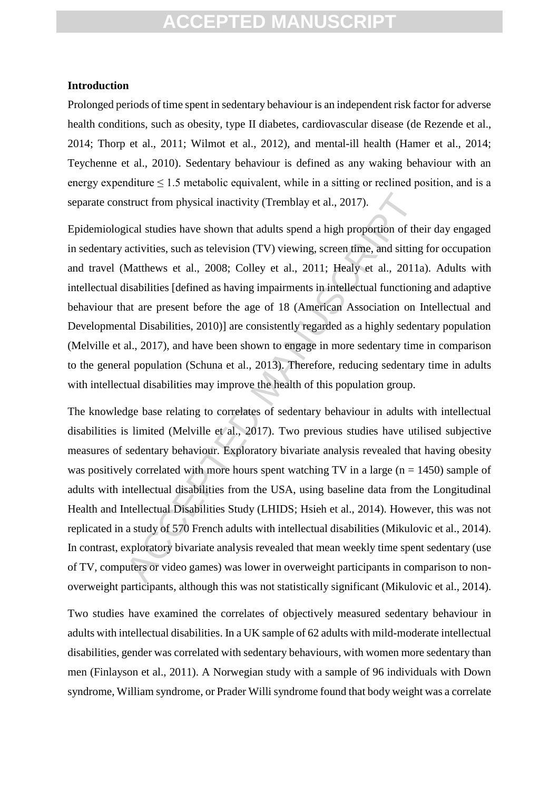#### **Introduction**

Prolonged periods of time spent in sedentary behaviour is an independent risk factor for adverse health conditions, such as obesity, type II diabetes, cardiovascular disease (de Rezende et al., 2014; Thorp et al., 2011; Wilmot et al., 2012), and mental-ill health (Hamer et al., 2014; Teychenne et al., 2010). Sedentary behaviour is defined as any waking behaviour with an energy expenditure  $\leq 1.5$  metabolic equivalent, while in a sitting or reclined position, and is a separate construct from physical inactivity (Tremblay et al., 2017).

Epidemiological studies have shown that adults spend a high proportion of their day engaged in sedentary activities, such as television (TV) viewing, screen time, and sitting for occupation and travel (Matthews et al., 2008; Colley et al., 2011; Healy et al., 2011a). Adults with intellectual disabilities [defined as having impairments in intellectual functioning and adaptive behaviour that are present before the age of 18 (American Association on Intellectual and Developmental Disabilities, 2010)] are consistently regarded as a highly sedentary population (Melville et al., 2017), and have been shown to engage in more sedentary time in comparison to the general population (Schuna et al., 2013). Therefore, reducing sedentary time in adults with intellectual disabilities may improve the health of this population group.

struct from physical inactivity (Tremblay et al., 2017).<br>
sical studies have shown that adults spend a high proportion of the<br>
activities, such as television (TV) viewing, screen time, and sitting<br>
Matthews et al., 2008; C The knowledge base relating to correlates of sedentary behaviour in adults with intellectual disabilities is limited (Melville et al., 2017). Two previous studies have utilised subjective measures of sedentary behaviour. Exploratory bivariate analysis revealed that having obesity was positively correlated with more hours spent watching TV in a large ( $n = 1450$ ) sample of adults with intellectual disabilities from the USA, using baseline data from the Longitudinal Health and Intellectual Disabilities Study (LHIDS; Hsieh et al., 2014). However, this was not replicated in a study of 570 French adults with intellectual disabilities (Mikulovic et al., 2014). In contrast, exploratory bivariate analysis revealed that mean weekly time spent sedentary (use of TV, computers or video games) was lower in overweight participants in comparison to nonoverweight participants, although this was not statistically significant (Mikulovic et al., 2014).

Two studies have examined the correlates of objectively measured sedentary behaviour in adults with intellectual disabilities. In a UK sample of 62 adults with mild-moderate intellectual disabilities, gender was correlated with sedentary behaviours, with women more sedentary than men (Finlayson et al., 2011). A Norwegian study with a sample of 96 individuals with Down syndrome, William syndrome, or Prader Willi syndrome found that body weight was a correlate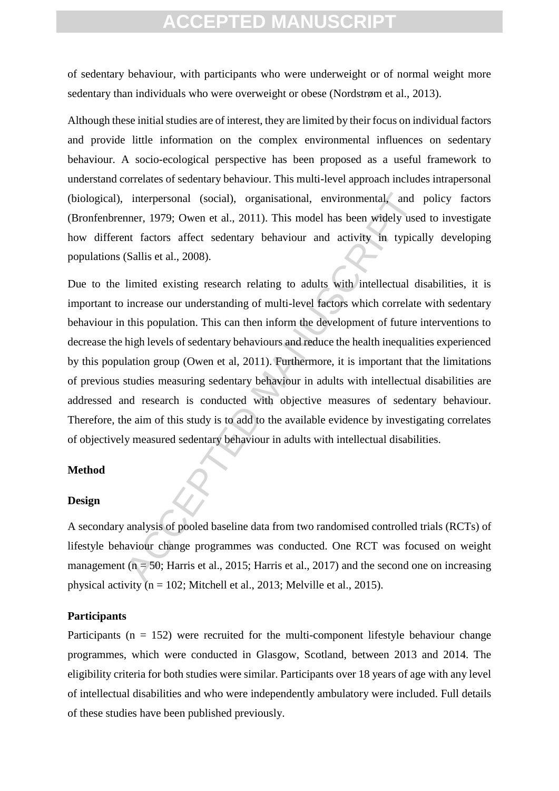of sedentary behaviour, with participants who were underweight or of normal weight more sedentary than individuals who were overweight or obese (Nordstrøm et al., 2013).

Although these initial studies are of interest, they are limited by their focus on individual factors and provide little information on the complex environmental influences on sedentary behaviour. A socio-ecological perspective has been proposed as a useful framework to understand correlates of sedentary behaviour. This multi-level approach includes intrapersonal (biological), interpersonal (social), organisational, environmental, and policy factors (Bronfenbrenner, 1979; Owen et al., 2011). This model has been widely used to investigate how different factors affect sedentary behaviour and activity in typically developing populations (Sallis et al., 2008).

interpersonal (social), organisational, environmental, and<br>nner, 1979; Owen et al., 2011). This model has been widely use<br>nt factors affect sedentary behaviour and activity in typica<br>(Sallis et al., 2008).<br>limited existing Due to the limited existing research relating to adults with intellectual disabilities, it is important to increase our understanding of multi-level factors which correlate with sedentary behaviour in this population. This can then inform the development of future interventions to decrease the high levels of sedentary behaviours and reduce the health inequalities experienced by this population group (Owen et al, 2011). Furthermore, it is important that the limitations of previous studies measuring sedentary behaviour in adults with intellectual disabilities are addressed and research is conducted with objective measures of sedentary behaviour. Therefore, the aim of this study is to add to the available evidence by investigating correlates of objectively measured sedentary behaviour in adults with intellectual disabilities.

#### **Method**

#### **Design**

A secondary analysis of pooled baseline data from two randomised controlled trials (RCTs) of lifestyle behaviour change programmes was conducted. One RCT was focused on weight management ( $n = 50$ ; Harris et al., 2015; Harris et al., 2017) and the second one on increasing physical activity ( $n = 102$ ; Mitchell et al., 2013; Melville et al., 2015).

#### **Participants**

Participants ( $n = 152$ ) were recruited for the multi-component lifestyle behaviour change programmes, which were conducted in Glasgow, Scotland, between 2013 and 2014. The eligibility criteria for both studies were similar. Participants over 18 years of age with any level of intellectual disabilities and who were independently ambulatory were included. Full details of these studies have been published previously.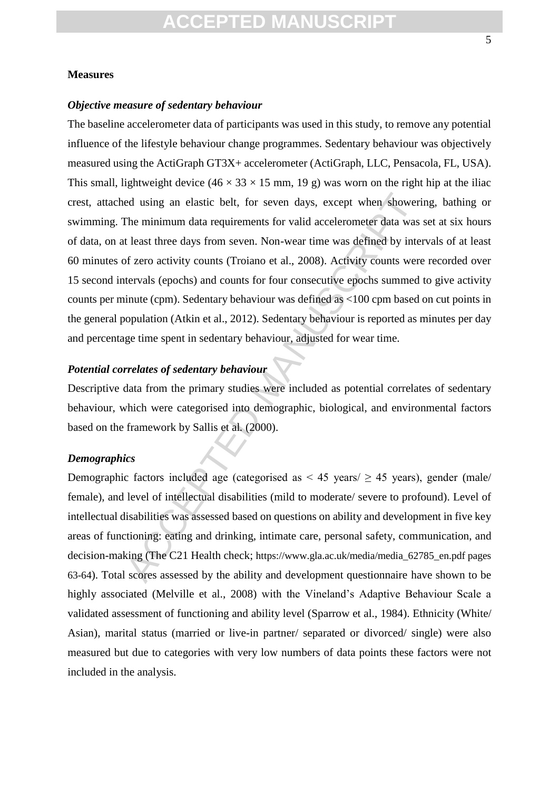#### **Measures**

#### *Objective measure of sedentary behaviour*

ed using an elastic belt, for seven days, except when showeriful minimum data requirements for valid accelerometer data was teast three days from seven. Non-wear time was defined by interfact was teast three days from sev The baseline accelerometer data of participants was used in this study, to remove any potential influence of the lifestyle behaviour change programmes. Sedentary behaviour was objectively measured using the ActiGraph GT3X+ accelerometer (ActiGraph, LLC, Pensacola, FL, USA). This small, lightweight device  $(46 \times 33 \times 15 \text{ mm}, 19 \text{ g})$  was worn on the right hip at the iliac crest, attached using an elastic belt, for seven days, except when showering, bathing or swimming. The minimum data requirements for valid accelerometer data was set at six hours of data, on at least three days from seven. Non-wear time was defined by intervals of at least 60 minutes of zero activity counts (Troiano et al., 2008). Activity counts were recorded over 15 second intervals (epochs) and counts for four consecutive epochs summed to give activity counts per minute (cpm). Sedentary behaviour was defined as <100 cpm based on cut points in the general population (Atkin et al., 2012). Sedentary behaviour is reported as minutes per day and percentage time spent in sedentary behaviour, adjusted for wear time.

#### *Potential correlates of sedentary behaviour*

Descriptive data from the primary studies were included as potential correlates of sedentary behaviour, which were categorised into demographic, biological, and environmental factors based on the framework by Sallis et al*.* (2000).

#### *Demographics*

Demographic factors included age (categorised as  $\leq$  45 years) gender (male/ female), and level of intellectual disabilities (mild to moderate/ severe to profound). Level of intellectual disabilities was assessed based on questions on ability and development in five key areas of functioning: eating and drinking, intimate care, personal safety, communication, and decision-making (The C21 Health check; https://www.gla.ac.uk/media/media 62785 en.pdf pages 63-64). Total scores assessed by the ability and development questionnaire have shown to be highly associated (Melville et al., 2008) with the Vineland's Adaptive Behaviour Scale a validated assessment of functioning and ability level (Sparrow et al., 1984). Ethnicity (White/ Asian), marital status (married or live-in partner/ separated or divorced/ single) were also measured but due to categories with very low numbers of data points these factors were not included in the analysis.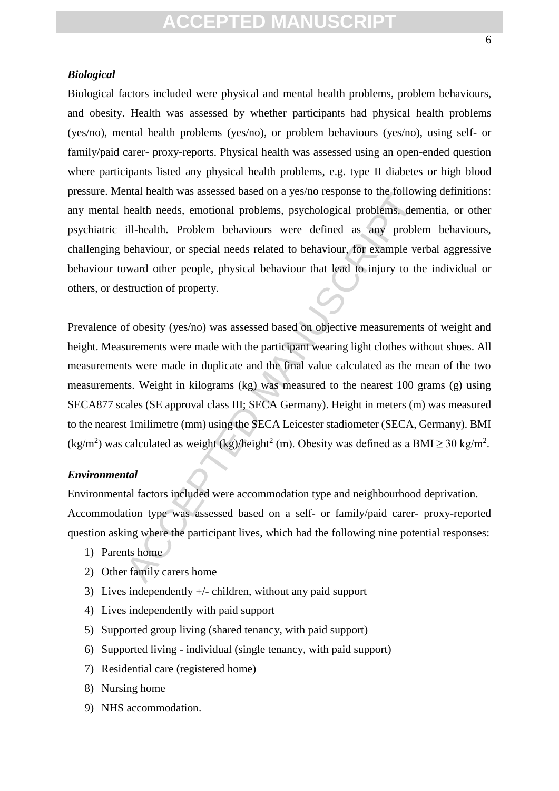#### *Biological*

Biological factors included were physical and mental health problems, problem behaviours, and obesity. Health was assessed by whether participants had physical health problems (yes/no), mental health problems (yes/no), or problem behaviours (yes/no), using self- or family/paid carer- proxy-reports. Physical health was assessed using an open-ended question where participants listed any physical health problems, e.g. type II diabetes or high blood pressure. Mental health was assessed based on a yes/no response to the following definitions: any mental health needs, emotional problems, psychological problems, dementia, or other psychiatric ill-health. Problem behaviours were defined as any problem behaviours, challenging behaviour, or special needs related to behaviour, for example verbal aggressive behaviour toward other people, physical behaviour that lead to injury to the individual or others, or destruction of property.

Entain meanu was assessed based on a yes no response to the rototom<br>health needs, emotional problems, psychological problems, der<br>ill-health. Problem behaviours were defined as any proble<br>behaviour, or special needs relate Prevalence of obesity (yes/no) was assessed based on objective measurements of weight and height. Measurements were made with the participant wearing light clothes without shoes. All measurements were made in duplicate and the final value calculated as the mean of the two measurements. Weight in kilograms (kg) was measured to the nearest 100 grams (g) using SECA877 scales (SE approval class III; SECA Germany). Height in meters (m) was measured to the nearest 1milimetre (mm) using the SECA Leicester stadiometer (SECA, Germany). BMI  $(kg/m<sup>2</sup>)$  was calculated as weight  $(kg)/\hbar$ eight<sup>2</sup> (m). Obesity was defined as a BMI  $\geq$  30 kg/m<sup>2</sup>.

#### *Environmental*

Environmental factors included were accommodation type and neighbourhood deprivation. Accommodation type was assessed based on a self- or family/paid carer- proxy-reported question asking where the participant lives, which had the following nine potential responses:

- 1) Parents home
- 2) Other family carers home
- 3) Lives independently +/- children, without any paid support
- 4) Lives independently with paid support
- 5) Supported group living (shared tenancy, with paid support)
- 6) Supported living individual (single tenancy, with paid support)
- 7) Residential care (registered home)
- 8) Nursing home
- 9) NHS accommodation.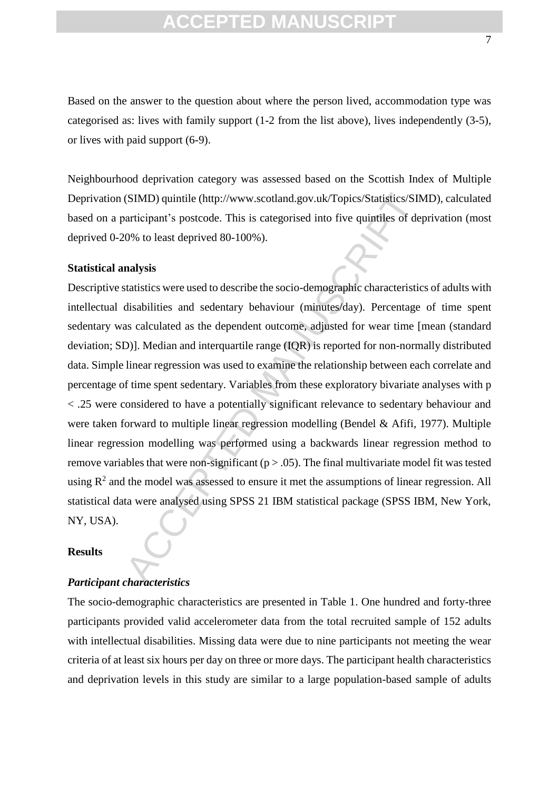Based on the answer to the question about where the person lived, accommodation type was categorised as: lives with family support (1-2 from the list above), lives independently (3-5), or lives with paid support (6-9).

Neighbourhood deprivation category was assessed based on the Scottish Index of Multiple Deprivation (SIMD) quintile (http://www.scotland.gov.uk/Topics/Statistics/SIMD), calculated based on a participant's postcode. This is categorised into five quintiles of deprivation (most deprived 0-20% to least deprived 80-100%).

#### **Statistical analysis**

(SIMD) quintile (http://www.scotland.gov.uk/Topics/Statistics/SIN<br>articipant's postcode. This is categorised into five quintiles of de<br>0% to least deprived 80-100%).<br> **nalysis**<br>
tatistics were used to describe the socio-d Descriptive statistics were used to describe the socio-demographic characteristics of adults with intellectual disabilities and sedentary behaviour (minutes/day). Percentage of time spent sedentary was calculated as the dependent outcome, adjusted for wear time [mean (standard deviation; SD)]. Median and interquartile range (IQR) is reported for non-normally distributed data. Simple linear regression was used to examine the relationship between each correlate and percentage of time spent sedentary. Variables from these exploratory bivariate analyses with p < .25 were considered to have a potentially significant relevance to sedentary behaviour and were taken forward to multiple linear regression modelling (Bendel & Afifi, 1977). Multiple linear regression modelling was performed using a backwards linear regression method to remove variables that were non-significant ( $p > .05$ ). The final multivariate model fit was tested using  $R<sup>2</sup>$  and the model was assessed to ensure it met the assumptions of linear regression. All statistical data were analysed using SPSS 21 IBM statistical package (SPSS IBM, New York, NY, USA).

#### **Results**

#### *Participant characteristics*

The socio-demographic characteristics are presented in Table 1. One hundred and forty-three participants provided valid accelerometer data from the total recruited sample of 152 adults with intellectual disabilities. Missing data were due to nine participants not meeting the wear criteria of at least six hours per day on three or more days. The participant health characteristics and deprivation levels in this study are similar to a large population-based sample of adults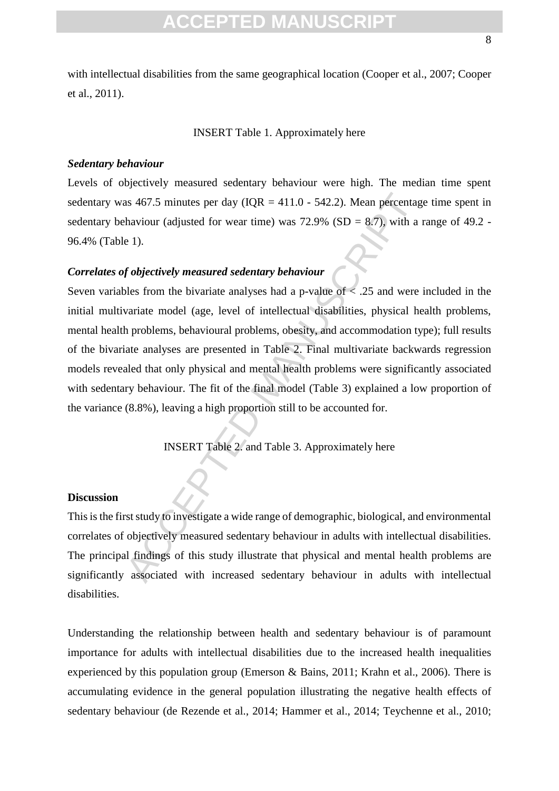with intellectual disabilities from the same geographical location (Cooper et al., 2007; Cooper et al., 2011).

#### INSERT Table 1. Approximately here

#### *Sedentary behaviour*

Levels of objectively measured sedentary behaviour were high. The median time spent sedentary was 467.5 minutes per day (IOR = 411.0 - 542.2). Mean percentage time spent in sedentary behaviour (adjusted for wear time) was  $72.9\%$  (SD = 8.7), with a range of 49.2 -96.4% (Table 1).

#### *Correlates of objectively measured sedentary behaviour*

as 467.5 minutes per day (IQR = 411.0 - 542.2). Mean percentage<br>haviour (adjusted for wear time) was 72.9% (SD = 8.7), with a<br>e 1).<br>fobjectively measured sedentary behaviour<br>less from the bivariate analyses had a p-value Seven variables from the bivariate analyses had a p-value of < .25 and were included in the initial multivariate model (age, level of intellectual disabilities, physical health problems, mental health problems, behavioural problems, obesity, and accommodation type); full results of the bivariate analyses are presented in Table 2. Final multivariate backwards regression models revealed that only physical and mental health problems were significantly associated with sedentary behaviour. The fit of the final model (Table 3) explained a low proportion of the variance (8.8%), leaving a high proportion still to be accounted for.

INSERT Table 2. and Table 3. Approximately here

#### **Discussion**

This is the first study to investigate a wide range of demographic, biological, and environmental correlates of objectively measured sedentary behaviour in adults with intellectual disabilities. The principal findings of this study illustrate that physical and mental health problems are significantly associated with increased sedentary behaviour in adults with intellectual disabilities.

Understanding the relationship between health and sedentary behaviour is of paramount importance for adults with intellectual disabilities due to the increased health inequalities experienced by this population group (Emerson & Bains, 2011; Krahn et al., 2006). There is accumulating evidence in the general population illustrating the negative health effects of sedentary behaviour (de Rezende et al., 2014; Hammer et al., 2014; Teychenne et al., 2010;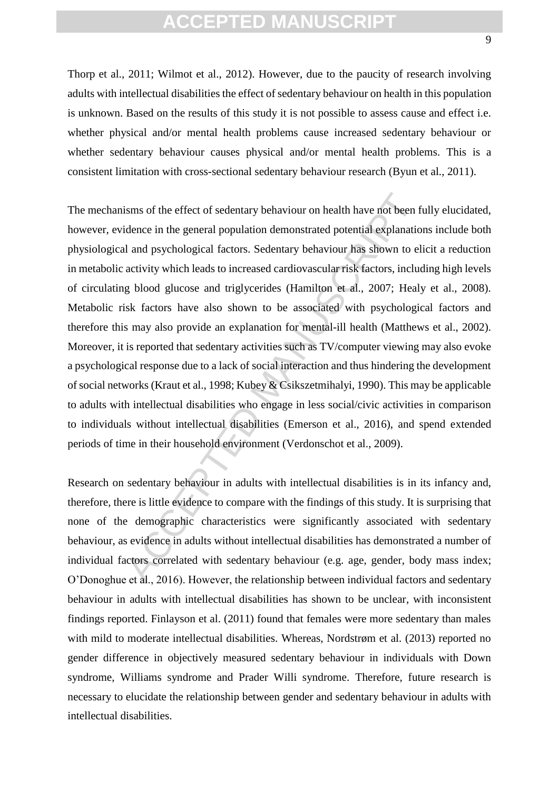Thorp et al., 2011; Wilmot et al., 2012). However, due to the paucity of research involving adults with intellectual disabilities the effect of sedentary behaviour on health in this population is unknown. Based on the results of this study it is not possible to assess cause and effect i.e. whether physical and/or mental health problems cause increased sedentary behaviour or whether sedentary behaviour causes physical and/or mental health problems. This is a consistent limitation with cross-sectional sedentary behaviour research (Byun et al., 2011).

isms of the effect of sedentary behaviour on health have not been f<br>dence in the general population demonstrated potential explanatio<br>l and psychological factors. Sedentary behaviour has shown to el<br>activity which leads to The mechanisms of the effect of sedentary behaviour on health have not been fully elucidated, however, evidence in the general population demonstrated potential explanations include both physiological and psychological factors. Sedentary behaviour has shown to elicit a reduction in metabolic activity which leads to increased cardiovascular risk factors, including high levels of circulating blood glucose and triglycerides (Hamilton et al., 2007; Healy et al., 2008). Metabolic risk factors have also shown to be associated with psychological factors and therefore this may also provide an explanation for mental-ill health (Matthews et al., 2002). Moreover, it is reported that sedentary activities such as TV/computer viewing may also evoke a psychological response due to a lack of social interaction and thus hindering the development of social networks (Kraut et al., 1998; Kubey & Csikszetmihalyi, 1990). This may be applicable to adults with intellectual disabilities who engage in less social/civic activities in comparison to individuals without intellectual disabilities (Emerson et al., 2016), and spend extended periods of time in their household environment (Verdonschot et al., 2009).

Research on sedentary behaviour in adults with intellectual disabilities is in its infancy and, therefore, there is little evidence to compare with the findings of this study. It is surprising that none of the demographic characteristics were significantly associated with sedentary behaviour, as evidence in adults without intellectual disabilities has demonstrated a number of individual factors correlated with sedentary behaviour (e.g. age, gender, body mass index; O'Donoghue et al., 2016). However, the relationship between individual factors and sedentary behaviour in adults with intellectual disabilities has shown to be unclear, with inconsistent findings reported. Finlayson et al. (2011) found that females were more sedentary than males with mild to moderate intellectual disabilities. Whereas, Nordstrøm et al. (2013) reported no gender difference in objectively measured sedentary behaviour in individuals with Down syndrome, Williams syndrome and Prader Willi syndrome. Therefore, future research is necessary to elucidate the relationship between gender and sedentary behaviour in adults with intellectual disabilities.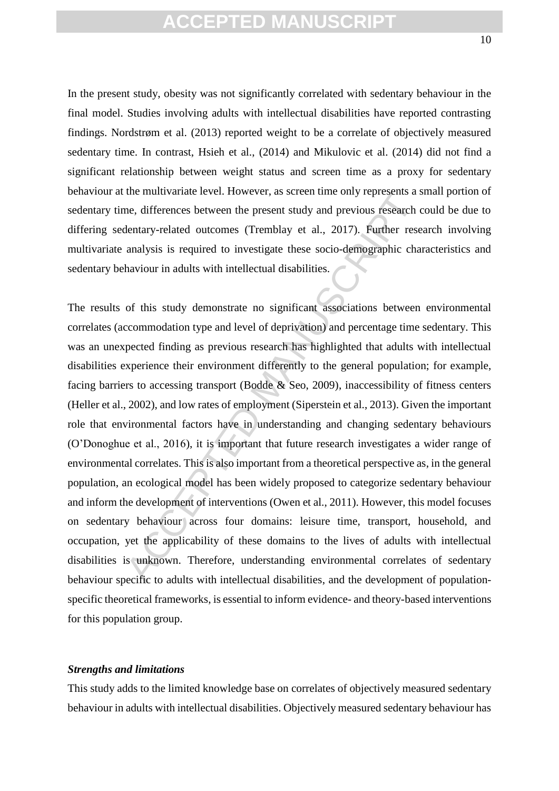In the present study, obesity was not significantly correlated with sedentary behaviour in the final model. Studies involving adults with intellectual disabilities have reported contrasting findings. Nordstrøm et al. (2013) reported weight to be a correlate of objectively measured sedentary time. In contrast, Hsieh et al., (2014) and Mikulovic et al. (2014) did not find a significant relationship between weight status and screen time as a proxy for sedentary behaviour at the multivariate level. However, as screen time only represents a small portion of sedentary time, differences between the present study and previous research could be due to differing sedentary-related outcomes (Tremblay et al., 2017). Further research involving multivariate analysis is required to investigate these socio-demographic characteristics and sedentary behaviour in adults with intellectual disabilities.

the intervalate ever. However, as screen the only represents a seem and the entrary-related outcomes (Tremblay et al., 2017). Further researalysis is required to investigate these socio-demographic changlysis is required t The results of this study demonstrate no significant associations between environmental correlates (accommodation type and level of deprivation) and percentage time sedentary. This was an unexpected finding as previous research has highlighted that adults with intellectual disabilities experience their environment differently to the general population; for example, facing barriers to accessing transport (Bodde & Seo, 2009), inaccessibility of fitness centers (Heller et al., 2002), and low rates of employment (Siperstein et al., 2013). Given the important role that environmental factors have in understanding and changing sedentary behaviours (O'Donoghue et al., 2016), it is important that future research investigates a wider range of environmental correlates. This is also important from a theoretical perspective as, in the general population, an ecological model has been widely proposed to categorize sedentary behaviour and inform the development of interventions (Owen et al., 2011). However, this model focuses on sedentary behaviour across four domains: leisure time, transport, household, and occupation, yet the applicability of these domains to the lives of adults with intellectual disabilities is unknown. Therefore, understanding environmental correlates of sedentary behaviour specific to adults with intellectual disabilities, and the development of populationspecific theoretical frameworks, is essential to inform evidence- and theory-based interventions for this population group.

#### *Strengths and limitations*

This study adds to the limited knowledge base on correlates of objectively measured sedentary behaviour in adults with intellectual disabilities. Objectively measured sedentary behaviour has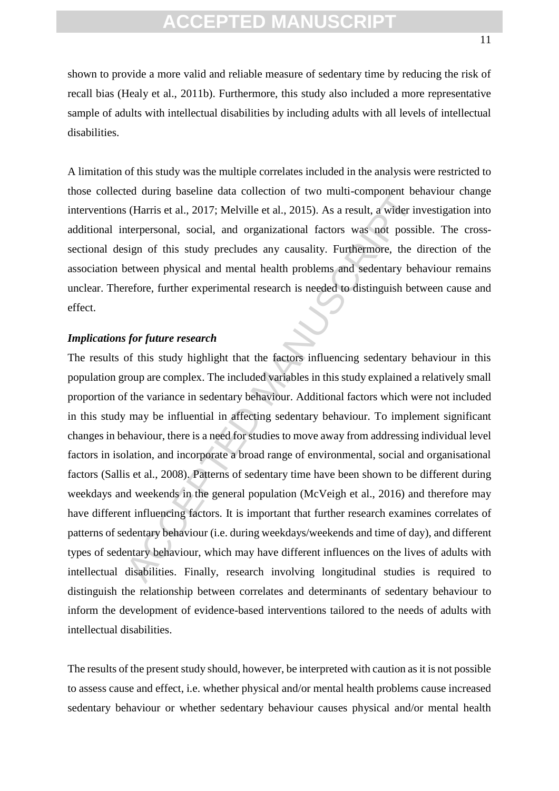A limitation of this study was the multiple correlates included in the analysis were restricted to those collected during baseline data collection of two multi-component behaviour change interventions (Harris et al., 2017; Melville et al., 2015). As a result, a wider investigation into additional interpersonal, social, and organizational factors was not possible. The crosssectional design of this study precludes any causality. Furthermore, the direction of the association between physical and mental health problems and sedentary behaviour remains unclear. Therefore, further experimental research is needed to distinguish between cause and effect.

#### *Implications for future research*

is (Harris et al., 2017; Melville et al., 2015). As a result, a wider interpersonal, social, and organizational factors was not possibign of this study precludes any causality. Furthermore, the detween physical and mental The results of this study highlight that the factors influencing sedentary behaviour in this population group are complex. The included variables in this study explained a relatively small proportion of the variance in sedentary behaviour. Additional factors which were not included in this study may be influential in affecting sedentary behaviour. To implement significant changes in behaviour, there is a need for studies to move away from addressing individual level factors in isolation, and incorporate a broad range of environmental, social and organisational factors (Sallis et al., 2008). Patterns of sedentary time have been shown to be different during weekdays and weekends in the general population (McVeigh et al., 2016) and therefore may have different influencing factors. It is important that further research examines correlates of patterns of sedentary behaviour (i.e. during weekdays/weekends and time of day), and different types of sedentary behaviour, which may have different influences on the lives of adults with intellectual disabilities. Finally, research involving longitudinal studies is required to distinguish the relationship between correlates and determinants of sedentary behaviour to inform the development of evidence-based interventions tailored to the needs of adults with intellectual disabilities.

The results of the present study should, however, be interpreted with caution as it is not possible to assess cause and effect, i.e. whether physical and/or mental health problems cause increased sedentary behaviour or whether sedentary behaviour causes physical and/or mental health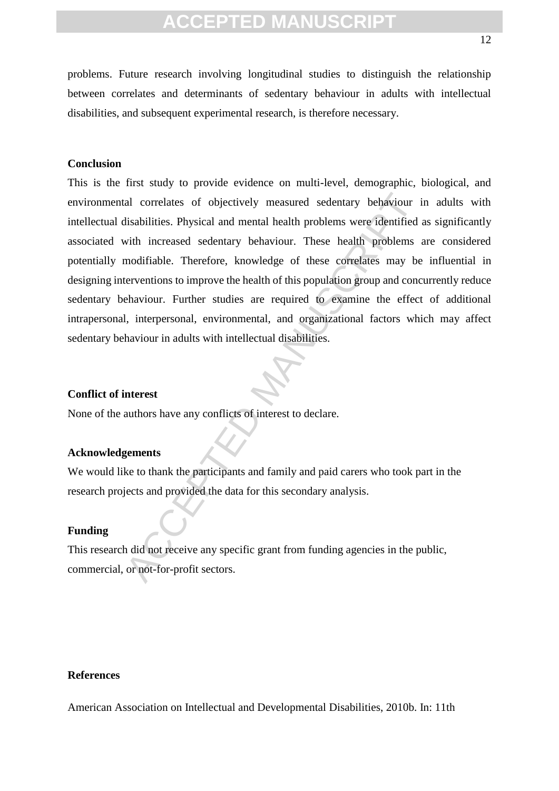problems. Future research involving longitudinal studies to distinguish the relationship between correlates and determinants of sedentary behaviour in adults with intellectual disabilities, and subsequent experimental research, is therefore necessary.

#### **Conclusion**

al correlates of objectively measured sedentary behaviour is<br>the disabilities. Physical and mental health problems were identified<br>with increased sedentary behaviour. These health problems and<br>ifiable. Therefore, knowledge This is the first study to provide evidence on multi-level, demographic, biological, and environmental correlates of objectively measured sedentary behaviour in adults with intellectual disabilities. Physical and mental health problems were identified as significantly associated with increased sedentary behaviour. These health problems are considered potentially modifiable. Therefore, knowledge of these correlates may be influential in designing interventions to improve the health of this population group and concurrently reduce sedentary behaviour. Further studies are required to examine the effect of additional intrapersonal, interpersonal, environmental, and organizational factors which may affect sedentary behaviour in adults with intellectual disabilities.

#### **Conflict of interest**

None of the authors have any conflicts of interest to declare.

#### **Acknowledgements**

We would like to thank the participants and family and paid carers who took part in the research projects and provided the data for this secondary analysis.

#### **Funding**

This research did not receive any specific grant from funding agencies in the public, commercial, or not-for-profit sectors.

#### **References**

American Association on Intellectual and Developmental Disabilities, 2010b. In: 11th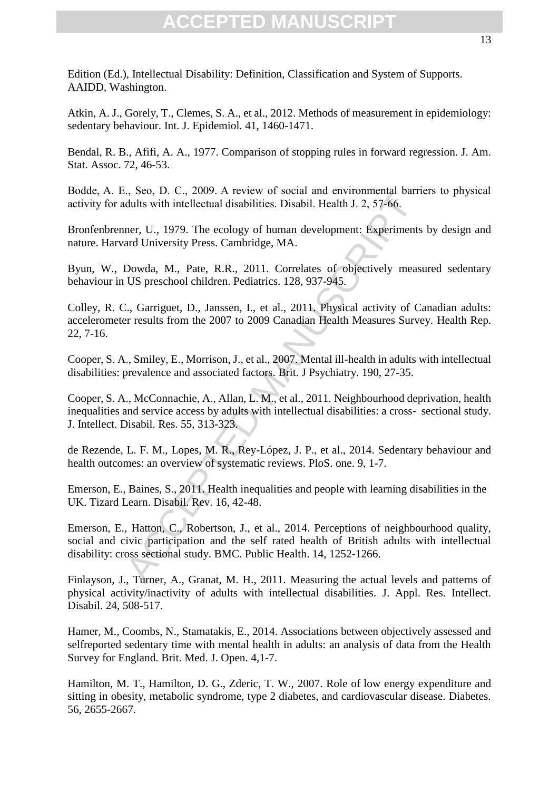Edition (Ed.), Intellectual Disability: Definition, Classification and System of Supports. AAIDD, Washington.

Atkin, A. J., Gorely, T., Clemes, S. A., et al., 2012. Methods of measurement in epidemiology: sedentary behaviour. Int. J. Epidemiol. 41, 1460-1471.

Bendal, R. B., Afifi, A. A., 1977. Comparison of stopping rules in forward regression. J. Am. Stat. Assoc. 72, 46-53.

Bodde, A. E., Seo, D. C., 2009. A review of social and environmental barriers to physical activity for adults with intellectual disabilities. Disabil. Health J. 2, 57-66.

Bronfenbrenner, U., 1979. The ecology of human development: Experiments by design and nature. Harvard University Press. Cambridge, MA.

Byun, W., Dowda, M., Pate, R.R., 2011. Correlates of objectively measured sedentary behaviour in US preschool children. Pediatrics. 128, 937-945.

Colley, R. C., Garriguet, D., Janssen, I., et al., 2011. Physical activity of Canadian adults: accelerometer results from the 2007 to 2009 Canadian Health Measures Survey. Health Rep. 22, 7-16.

Cooper, S. A., Smiley, E., Morrison, J., et al., 2007. Mental ill-health in adults with intellectual disabilities: prevalence and associated factors. Brit. J Psychiatry. 190, 27-35.

Cooper, S. A., McConnachie, A., Allan, L. M., et al., 2011. Neighbourhood deprivation, health inequalities and service access by adults with intellectual disabilities: a cross‐ sectional study. J. Intellect. Disabil. Res. 55, 313-323.

de Rezende, L. F. M., Lopes, M. R., Rey-López, J. P., et al., 2014. Sedentary behaviour and health outcomes: an overview of systematic reviews. PloS. one. 9, 1-7.

Emerson, E., Baines, S., 2011. Health inequalities and people with learning disabilities in the UK. Tizard Learn. Disabil. Rev. 16, 42-48.

v., seo, D. C., 2007. A review or social and environmental variations.<br>
Institute with interest of the color and environmental variations.<br>
Institute with M. P. S. 57-66.<br>
Institute and University Press. Cambridge, MA.<br>
Do Emerson, E., Hatton, C., Robertson, J., et al., 2014. Perceptions of neighbourhood quality, social and civic participation and the self rated health of British adults with intellectual disability: cross sectional study. BMC. Public Health. 14, 1252-1266.

Finlayson, J., Turner, A., Granat, M. H., 2011. Measuring the actual levels and patterns of physical activity/inactivity of adults with intellectual disabilities. J. Appl. Res. Intellect. Disabil. 24, 508-517.

Hamer, M., Coombs, N., Stamatakis, E., 2014. Associations between objectively assessed and selfreported sedentary time with mental health in adults: an analysis of data from the Health Survey for England. Brit. Med. J. Open. 4,1-7.

Hamilton, M. T., Hamilton, D. G., Zderic, T. W., 2007. Role of low energy expenditure and sitting in obesity, metabolic syndrome, type 2 diabetes, and cardiovascular disease. Diabetes. 56, 2655-2667.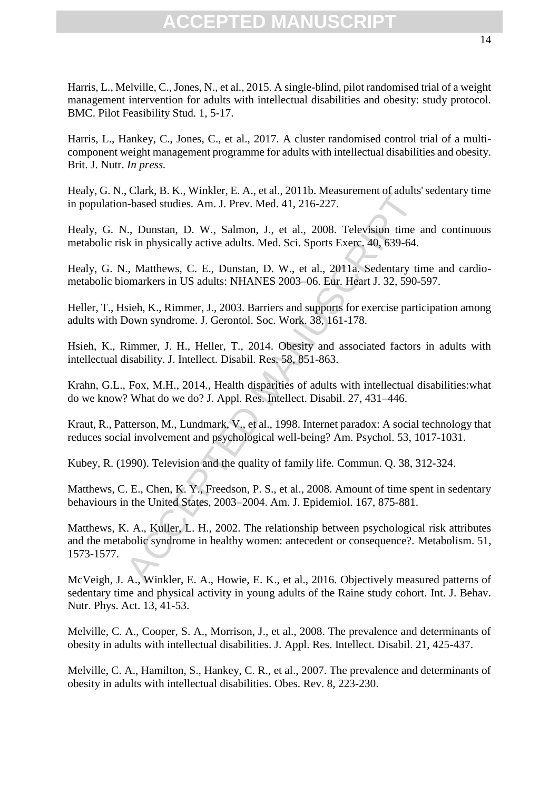Harris, L., Melville, C., Jones, N., et al., 2015. A single-blind, pilot randomised trial of a weight management intervention for adults with intellectual disabilities and obesity: study protocol. BMC. Pilot Feasibility Stud. 1, 5-17.

Harris, L., Hankey, C., Jones, C., et al., 2017. A cluster randomised control trial of a multicomponent weight management programme for adults with intellectual disabilities and obesity. Brit. J. Nutr. *In press.*

Healy, G. N., Clark, B. K., Winkler, E. A., et al., 2011b. Measurement of adults' sedentary time in population-based studies*.* Am. J. Prev. Med. 41, 216-227.

Healy, G. N., Dunstan, D. W., Salmon, J., et al., 2008. Television time and continuous metabolic risk in physically active adults. Med. Sci. Sports Exerc. 40, 639-64.

Healy, G. N., Matthews, C. E., Dunstan, D. W., et al., 2011a. Sedentary time and cardiometabolic biomarkers in US adults: NHANES 2003–06. Eur. Heart J. 32, 590-597.

Heller, T., Hsieh, K., Rimmer, J., 2003. Barriers and supports for exercise participation among adults with Down syndrome. J. Gerontol. Soc. Work. 38, 161-178.

Hsieh, K., Rimmer, J. H., Heller, T., 2014. Obesity and associated factors in adults with intellectual disability. J. Intellect. Disabil. Res. 58, 851-863.

Krahn, G.L., Fox, M.H., 2014., Health disparities of adults with intellectual disabilities:what do we know? What do we do? J. Appl. Res. Intellect. Disabil. 27, 431–446.

Kraut, R., Patterson, M., Lundmark, V., et al., 1998. Internet paradox: A social technology that reduces social involvement and psychological well-being? Am. Psychol. 53, 1017-1031.

Kubey, R. (1990). Television and the quality of family life. Commun. Q. 38, 312-324.

Matthews, C. E., Chen, K. Y., Freedson, P. S., et al., 2008. Amount of time spent in sedentary behaviours in the United States, 2003–2004. Am. J. Epidemiol. 167, 875-881.

Calak, D. R., Winkier, E. A., et al., 2011. Neastaltenient of attants.<br>
1-based stidies. Am. J. Prev. Med. 41, 216-227.<br>
1., Dunstan, D. W., Salmon, J., et al., 2008. Television time to attack is in physically active adul Matthews, K. A., Kuller, L. H., 2002. The relationship between psychological risk attributes and the metabolic syndrome in healthy women: antecedent or consequence?. Metabolism. 51, 1573-1577.

McVeigh, J. A., Winkler, E. A., Howie, E. K., et al., 2016. Objectively measured patterns of sedentary time and physical activity in young adults of the Raine study cohort. Int. J. Behav. Nutr. Phys. Act. 13, 41-53.

Melville, C. A., Cooper, S. A., Morrison, J., et al., 2008. The prevalence and determinants of obesity in adults with intellectual disabilities. J. Appl. Res. Intellect. Disabil. 21, 425-437.

Melville, C. A., Hamilton, S., Hankey, C. R., et al., 2007. The prevalence and determinants of obesity in adults with intellectual disabilities. Obes. Rev. 8, 223-230.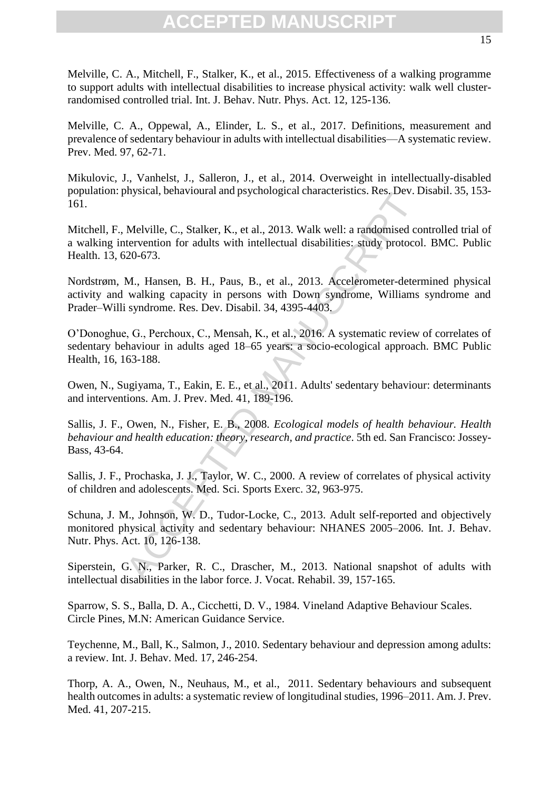Melville, C. A., Mitchell, F., Stalker, K., et al., 2015. Effectiveness of a walking programme to support adults with intellectual disabilities to increase physical activity: walk well clusterrandomised controlled trial. Int. J. Behav. Nutr. Phys. Act. 12, 125-136.

Melville, C. A., Oppewal, A., Elinder, L. S., et al., 2017. Definitions, measurement and prevalence of sedentary behaviour in adults with intellectual disabilities—A systematic review. Prev. Med. 97, 62-71.

Mikulovic, J., Vanhelst, J., Salleron, J., et al., 2014. Overweight in intellectually-disabled population: physical, behavioural and psychological characteristics. Res. Dev. Disabil. 35, 153- 161.

Mitchell, F., Melville, C., Stalker, K., et al., 2013. Walk well: a randomised controlled trial of a walking intervention for adults with intellectual disabilities: study protocol. BMC. Public Health. 13, 620-673.

Nordstrøm, M., Hansen, B. H., Paus, B., et al., 2013. Accelerometer-determined physical activity and walking capacity in persons with Down syndrome, Williams syndrome and Prader–Willi syndrome. Res. Dev. Disabil. 34, 4395-4403.

O'Donoghue, G., Perchoux, C., Mensah, K., et al., 2016. A systematic review of correlates of sedentary behaviour in adults aged 18–65 years: a socio-ecological approach. BMC Public Health, 16, 163-188.

Owen, N., Sugiyama, T., Eakin, E. E., et al., 2011. Adults' sedentary behaviour: determinants and interventions. Am. J. Prev. Med. 41, 189-196.

Sallis, J. F., Owen, N., Fisher, E. B., 2008. *Ecological models of health behaviour. Health behaviour and health education: theory, research, and practice*. 5th ed. San Francisco: Jossey-Bass, 43-64.

Sallis, J. F., Prochaska, J. J., Taylor, W. C., 2000. A review of correlates of physical activity of children and adolescents. Med. Sci. Sports Exerc. 32, 963-975.

Surgestar, benavioural and psychological characteristics. Kes., Dev. I.<br>Melville, C., Stalker, K., et al., 2013. Walk well: a randomised co<br>tervention for adults with intellectual disabilities: study protocol<br>20-673.<br>M., H Schuna, J. M., Johnson, W. D., Tudor-Locke, C., 2013. Adult self-reported and objectively monitored physical activity and sedentary behaviour: NHANES 2005–2006. Int. J. Behav. Nutr. Phys. Act. 10, 126-138.

Siperstein, G. N., Parker, R. C., Drascher, M., 2013. National snapshot of adults with intellectual disabilities in the labor force. J. Vocat. Rehabil. 39, 157-165.

Sparrow, S. S., Balla, D. A., Cicchetti, D. V., 1984. Vineland Adaptive Behaviour Scales. Circle Pines, M.N: American Guidance Service.

Teychenne, M., Ball, K., Salmon, J., 2010. Sedentary behaviour and depression among adults: a review. Int. J. Behav. Med. 17, 246-254.

Thorp, A. A., Owen, N., Neuhaus, M., et al., 2011. Sedentary behaviours and subsequent health outcomes in adults: a systematic review of longitudinal studies, 1996–2011. Am. J. Prev. Med. 41, 207-215.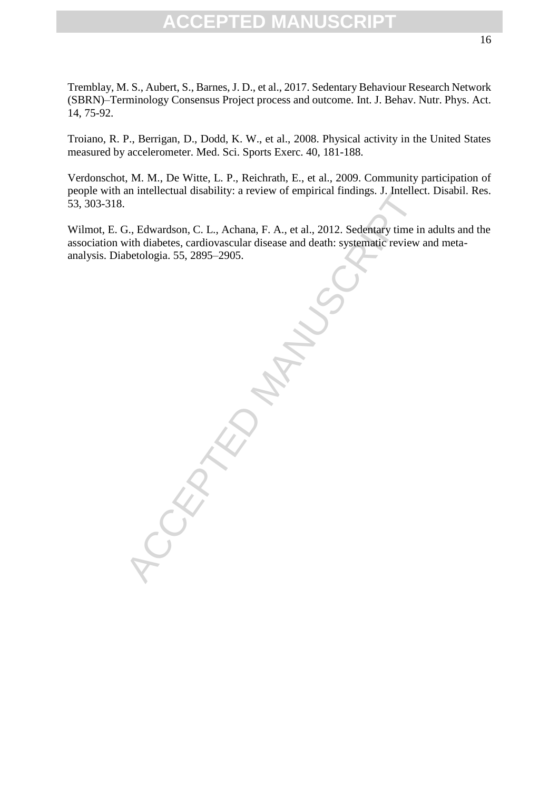Tremblay, M. S., Aubert, S., Barnes, J. D., et al., 2017. Sedentary Behaviour Research Network (SBRN)–Terminology Consensus Project process and outcome. Int. J. Behav. Nutr. Phys. Act. 14, 75-92.

Troiano, R. P., Berrigan, D., Dodd, K. W., et al., 2008. Physical activity in the United States measured by accelerometer. Med. Sci. Sports Exerc. 40, 181-188.

Verdonschot, M. M., De Witte, L. P., Reichrath, E., et al., 2009. Community participation of people with an intellectual disability: a review of empirical findings. J. Intellect. Disabil. Res. 53, 303-318.

Wilmot, E. G., Edwardson, C. L., Achana, F. A., et al., 2012. Sedentary time in adults and the association with diabetes, cardiovascular disease and death: systematic review and metaanalysis. Diabetologia. 55, 2895–2905.

ACCEPTED MANUSCRIPT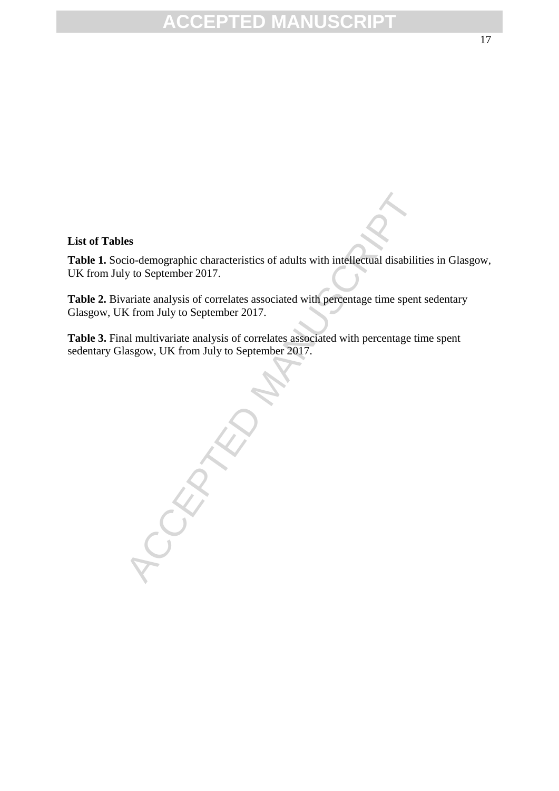#### **List of Tables**

**Table 1.** Socio-demographic characteristics of adults with intellectual disabilities in Glasgow, UK from July to September 2017.

Table 2. Bivariate analysis of correlates associated with percentage time spent sedentary Glasgow, UK from July to September 2017.

Table 3. Final multivariate analysis of correlates associated with percentage time spent sedentary Glasgow, UK from July to September 2017.

CEPTED MANUSCRIPT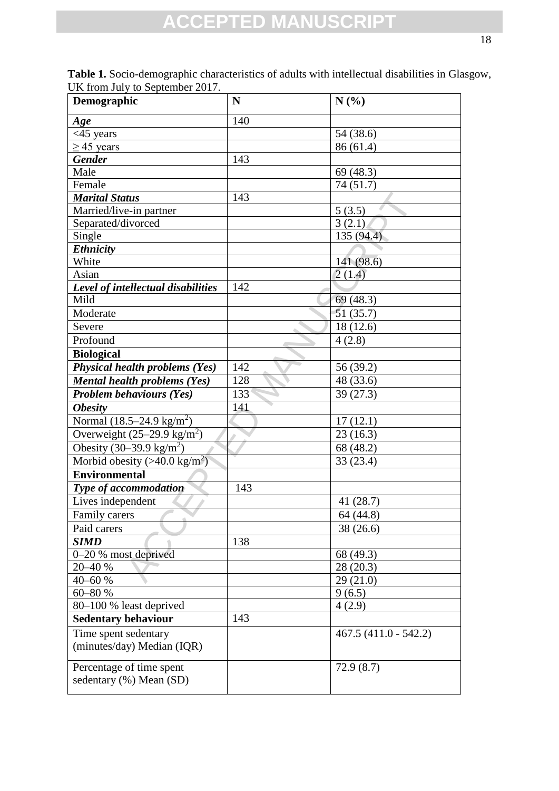| Demographic                                         | N          | N(%)                   |  |
|-----------------------------------------------------|------------|------------------------|--|
| Age                                                 | 140        |                        |  |
| $<$ 45 years                                        |            | 54 (38.6)              |  |
| $\geq$ 45 years                                     |            | 86 (61.4)              |  |
| <b>Gender</b>                                       | 143        |                        |  |
| Male                                                |            | 69(48.3)               |  |
| Female                                              |            | 74(51.7)               |  |
| <b>Marital Status</b>                               | 143        |                        |  |
| Married/live-in partner                             | 5(3.5)     |                        |  |
| Separated/divorced                                  | 3(2.1)     |                        |  |
| Single                                              | 135 (94.4) |                        |  |
| <b>Ethnicity</b>                                    |            |                        |  |
| White                                               |            | 141 (98.6)             |  |
| Asian                                               |            | 2(1.4)                 |  |
| Level of intellectual disabilities                  | 142        |                        |  |
| Mild                                                |            | 69 (48.3)              |  |
| Moderate                                            |            | 51(35.7)               |  |
| Severe                                              |            | 18(12.6)               |  |
| Profound                                            |            | 4(2.8)                 |  |
| <b>Biological</b>                                   |            |                        |  |
| <b>Physical health problems (Yes)</b>               | 142        | 56 (39.2)              |  |
| <b>Mental health problems (Yes)</b>                 | 128        | 48 (33.6)              |  |
| <b>Problem behaviours (Yes)</b>                     | 133        | 39(27.3)               |  |
| <b>Obesity</b>                                      | 141        |                        |  |
| Normal $(18.5-24.9 \text{ kg/m}^2)$                 |            | 17(12.1)               |  |
| Overweight $(25-29.9 \text{ kg/m}^2)$               |            | 23(16.3)               |  |
| Obesity $(30-39.9 \text{ kg/m}^2)$                  |            | 68 (48.2)              |  |
| Morbid obesity (>40.0 kg/m <sup>2</sup> )           |            | 33(23.4)               |  |
| <b>Environmental</b>                                |            |                        |  |
| Type of accommodation                               | 143        |                        |  |
| Lives independent                                   |            | 41 (28.7)              |  |
| Family carers                                       |            | 64 (44.8)              |  |
| Paid carers                                         |            | 38 (26.6)              |  |
| <b>SIMD</b>                                         | 138        |                        |  |
| 0–20 % most deprived                                |            | 68 (49.3)              |  |
| 20-40 %                                             |            | 28 (20.3)              |  |
| 40-60 %                                             |            | 29(21.0)               |  |
| 60-80 %                                             |            | 9(6.5)                 |  |
| 80-100 % least deprived                             |            | 4(2.9)                 |  |
| <b>Sedentary behaviour</b>                          | 143        |                        |  |
| Time spent sedentary                                |            | $467.5(411.0 - 542.2)$ |  |
| (minutes/day) Median (IQR)                          |            |                        |  |
|                                                     |            |                        |  |
| Percentage of time spent<br>sedentary (%) Mean (SD) |            | 72.9(8.7)              |  |
|                                                     |            |                        |  |

**Table 1.** Socio-demographic characteristics of adults with intellectual disabilities in Glasgow, UK from July to September 2017.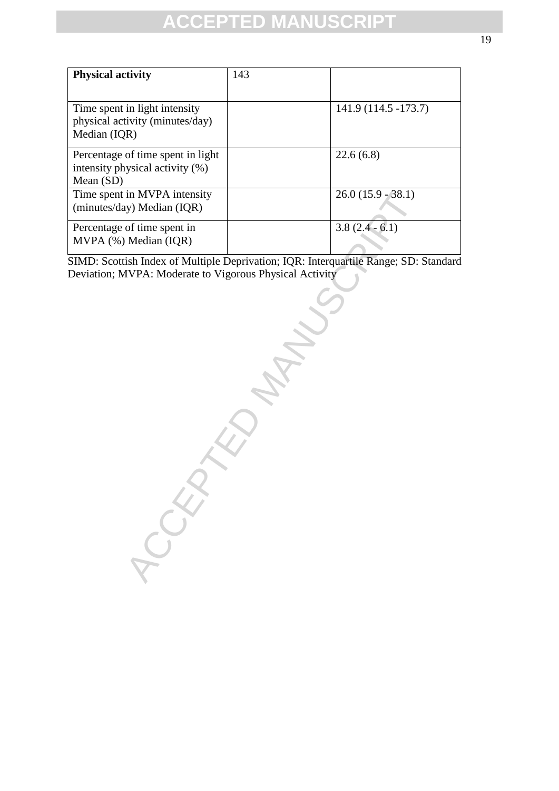| <b>Physical activity</b>                                                            | 143 |                      |
|-------------------------------------------------------------------------------------|-----|----------------------|
| Time spent in light intensity<br>physical activity (minutes/day)<br>Median (IQR)    |     | 141.9 (114.5 -173.7) |
| Percentage of time spent in light<br>intensity physical activity (%)<br>Mean $(SD)$ |     | 22.6(6.8)            |
| Time spent in MVPA intensity<br>(minutes/day) Median (IQR)                          |     | $26.0(15.9 - 38.1)$  |
| Percentage of time spent in<br>MVPA (%) Median (IQR)                                |     | $3.8(2.4 - 6.1)$     |

SIMD: Scottish Index of Multiple Deprivation; IQR: Interquartile Range; SD: Standard Deviation; MVPA: Moderate to Vigorous Physical Activity

in MVPA intensity<br>y) Median (IQR)<br>of time spent in<br>Median (IQR)<br>ish Index of Multiple Deprivation; IQR: Interquaritie Range; SD:<br>XVPA: Moderate to Vigorous Physical Activity<br>NVPA: Moderate to Vigorous Physical Activity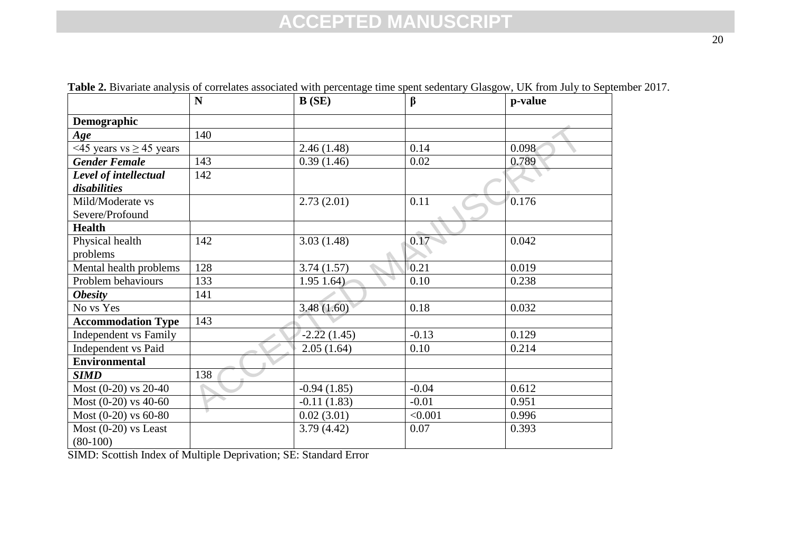|                                      | $\mathbf N$ | B(SE)         | $\beta$ | p-value |
|--------------------------------------|-------------|---------------|---------|---------|
| Demographic                          |             |               |         |         |
| Age                                  | 140         |               |         |         |
| <45 years vs $\geq$ 45 years         |             | 2.46(1.48)    | 0.14    | 0.098   |
| <b>Gender Female</b>                 | 143         | 0.39(1.46)    | 0.02    | 0.789   |
| Level of intellectual                | 142         |               |         |         |
| disabilities                         |             |               |         |         |
| Mild/Moderate vs                     |             | 2.73(2.01)    | 0.11    | 0.176   |
| Severe/Profound                      |             |               |         |         |
| <b>Health</b>                        |             |               |         |         |
| Physical health                      | 142         | 3.03(1.48)    | 0.17    | 0.042   |
| problems                             |             |               |         |         |
| Mental health problems               | 128         | 3.74(1.57)    | 0.21    | 0.019   |
| Problem behaviours                   | 133         | $1.95$ 1.64)  | 0.10    | 0.238   |
| <b>Obesity</b>                       | 141         |               |         |         |
| No vs Yes                            |             | 3.48(1.60)    | 0.18    | 0.032   |
| <b>Accommodation Type</b>            | 143         |               |         |         |
| Independent vs Family                |             | $-2.22(1.45)$ | $-0.13$ | 0.129   |
| Independent vs Paid                  |             | 2.05(1.64)    | 0.10    | 0.214   |
| <b>Environmental</b>                 |             |               |         |         |
| <b>SIMD</b>                          | 138         |               |         |         |
| Most (0-20) vs 20-40                 |             | $-0.94(1.85)$ | $-0.04$ | 0.612   |
| Most $(0-20)$ vs 40-60               |             | $-0.11(1.83)$ | $-0.01$ | 0.951   |
| Most $(0-20)$ vs 60-80               |             | 0.02(3.01)    | < 0.001 | 0.996   |
| Most $(0-20)$ vs Least<br>$(80-100)$ |             | 3.79(4.42)    | 0.07    | 0.393   |

**Table 2.** Bivariate analysis of correlates associated with percentage time spent sedentary Glasgow, UK from July to September 2017.

SIMD: Scottish Index of Multiple Deprivation; SE: Standard Error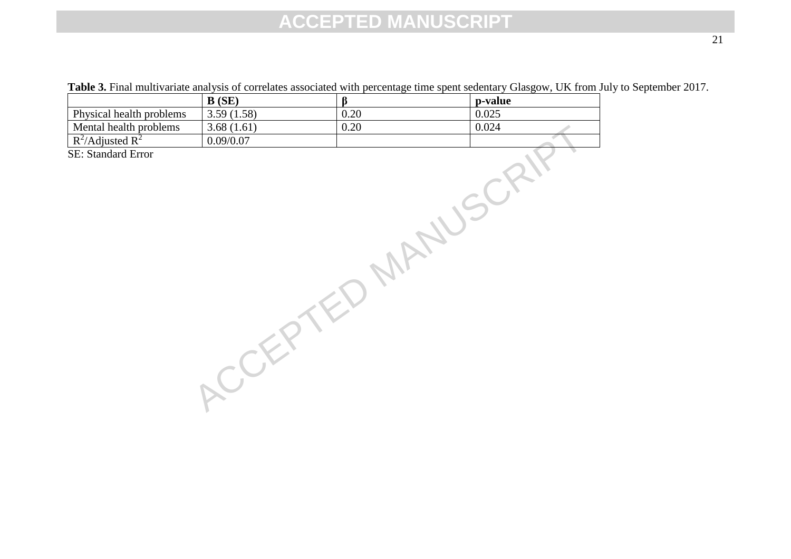Table 3. Final multivariate analysis of correlates associated with percentage time spent sedentary Glasgow, UK from July to September 2017.

|                                                 | B(SE)      | $\beta$ | p-value |
|-------------------------------------------------|------------|---------|---------|
| Physical health problems                        | 3.59(1.58) | 0.20    | 0.025   |
|                                                 | 3.68(1.61) | 0.20    | 0.024   |
| Mental health problems<br>$R^2$ /Adjusted $R^2$ | 0.09/0.07  |         |         |
| SE: Standard Error                              |            |         |         |